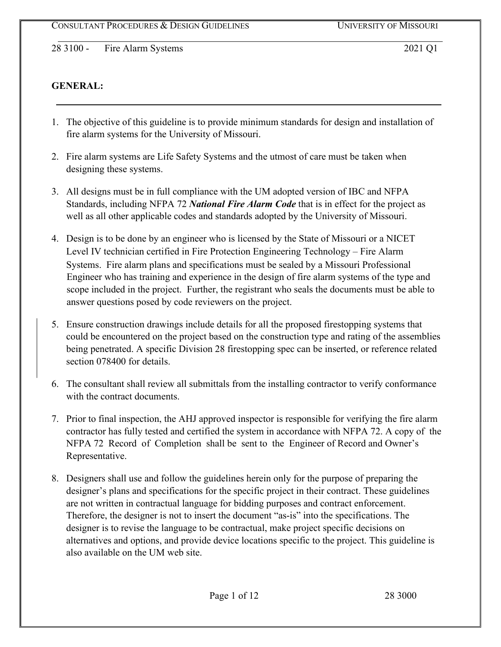## **GENERAL:**

- 1. The objective of this guideline is to provide minimum standards for design and installation of fire alarm systems for the University of Missouri.
- 2. Fire alarm systems are Life Safety Systems and the utmost of care must be taken when designing these systems.
- 3. All designs must be in full compliance with the UM adopted version of IBC and NFPA Standards, including NFPA 72 *National Fire Alarm Code* that is in effect for the project as well as all other applicable codes and standards adopted by the University of Missouri.
- 4. Design is to be done by an engineer who is licensed by the State of Missouri or a NICET Level IV technician certified in Fire Protection Engineering Technology – Fire Alarm Systems. Fire alarm plans and specifications must be sealed by a Missouri Professional Engineer who has training and experience in the design of fire alarm systems of the type and scope included in the project. Further, the registrant who seals the documents must be able to answer questions posed by code reviewers on the project.
- 5. Ensure construction drawings include details for all the proposed firestopping systems that could be encountered on the project based on the construction type and rating of the assemblies being penetrated. A specific Division 28 firestopping spec can be inserted, or reference related section 078400 for details.
- 6. The consultant shall review all submittals from the installing contractor to verify conformance with the contract documents.
- 7. Prior to final inspection, the AHJ approved inspector is responsible for verifying the fire alarm contractor has fully tested and certified the system in accordance with NFPA 72. A copy of the NFPA 72 Record of Completion shall be sent to the Engineer of Record and Owner's Representative.
- 8. Designers shall use and follow the guidelines herein only for the purpose of preparing the designer's plans and specifications for the specific project in their contract. These guidelines are not written in contractual language for bidding purposes and contract enforcement. Therefore, the designer is not to insert the document "as-is" into the specifications. The designer is to revise the language to be contractual, make project specific decisions on alternatives and options, and provide device locations specific to the project. This guideline is also available on the UM web site.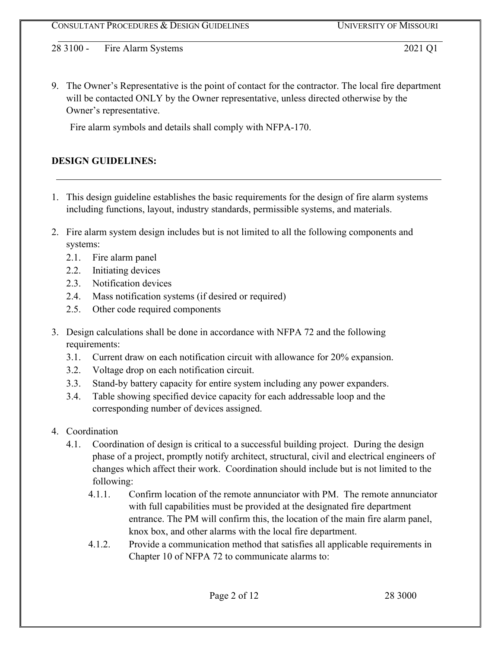9. The Owner's Representative is the point of contact for the contractor. The local fire department will be contacted ONLY by the Owner representative, unless directed otherwise by the Owner's representative.

Fire alarm symbols and details shall comply with NFPA-170.

# **DESIGN GUIDELINES:**

- 1. This design guideline establishes the basic requirements for the design of fire alarm systems including functions, layout, industry standards, permissible systems, and materials.
- 2. Fire alarm system design includes but is not limited to all the following components and systems:
	- 2.1. Fire alarm panel
	- 2.2. Initiating devices
	- 2.3. Notification devices
	- 2.4. Mass notification systems (if desired or required)
	- 2.5. Other code required components
- 3. Design calculations shall be done in accordance with NFPA 72 and the following requirements:
	- 3.1. Current draw on each notification circuit with allowance for 20% expansion.
	- 3.2. Voltage drop on each notification circuit.
	- 3.3. Stand-by battery capacity for entire system including any power expanders.
	- 3.4. Table showing specified device capacity for each addressable loop and the corresponding number of devices assigned.
- 4. Coordination
	- 4.1. Coordination of design is critical to a successful building project. During the design phase of a project, promptly notify architect, structural, civil and electrical engineers of changes which affect their work. Coordination should include but is not limited to the following:
		- 4.1.1. Confirm location of the remote annunciator with PM. The remote annunciator with full capabilities must be provided at the designated fire department entrance. The PM will confirm this, the location of the main fire alarm panel, knox box, and other alarms with the local fire department.
		- 4.1.2. Provide a communication method that satisfies all applicable requirements in Chapter 10 of NFPA 72 to communicate alarms to: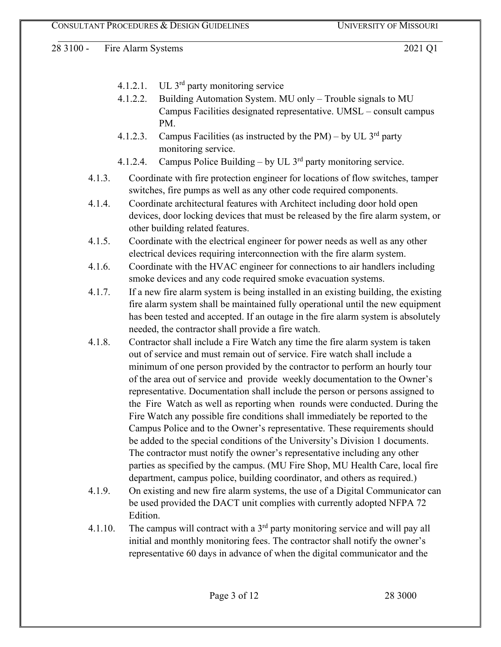- 4.1.2.1. UL 3rd party monitoring service
- 4.1.2.2. Building Automation System. MU only Trouble signals to MU Campus Facilities designated representative. UMSL – consult campus PM.
- 4.1.2.3. Campus Facilities (as instructed by the PM) by UL  $3^{rd}$  party monitoring service.
- 4.1.2.4. Campus Police Building by UL  $3<sup>rd</sup>$  party monitoring service.
- 4.1.3. Coordinate with fire protection engineer for locations of flow switches, tamper switches, fire pumps as well as any other code required components.
- 4.1.4. Coordinate architectural features with Architect including door hold open devices, door locking devices that must be released by the fire alarm system, or other building related features.
- 4.1.5. Coordinate with the electrical engineer for power needs as well as any other electrical devices requiring interconnection with the fire alarm system.
- 4.1.6. Coordinate with the HVAC engineer for connections to air handlers including smoke devices and any code required smoke evacuation systems.
- 4.1.7. If a new fire alarm system is being installed in an existing building, the existing fire alarm system shall be maintained fully operational until the new equipment has been tested and accepted. If an outage in the fire alarm system is absolutely needed, the contractor shall provide a fire watch.
- 4.1.8. Contractor shall include a Fire Watch any time the fire alarm system is taken out of service and must remain out of service. Fire watch shall include a minimum of one person provided by the contractor to perform an hourly tour of the area out of service and provide weekly documentation to the Owner's representative. Documentation shall include the person or persons assigned to the Fire Watch as well as reporting when rounds were conducted. During the Fire Watch any possible fire conditions shall immediately be reported to the Campus Police and to the Owner's representative. These requirements should be added to the special conditions of the University's Division 1 documents. The contractor must notify the owner's representative including any other parties as specified by the campus. (MU Fire Shop, MU Health Care, local fire department, campus police, building coordinator, and others as required.)
- 4.1.9. On existing and new fire alarm systems, the use of a Digital Communicator can be used provided the DACT unit complies with currently adopted NFPA 72 Edition.
- 4.1.10. The campus will contract with a  $3<sup>rd</sup>$  party monitoring service and will pay all initial and monthly monitoring fees. The contractor shall notify the owner's representative 60 days in advance of when the digital communicator and the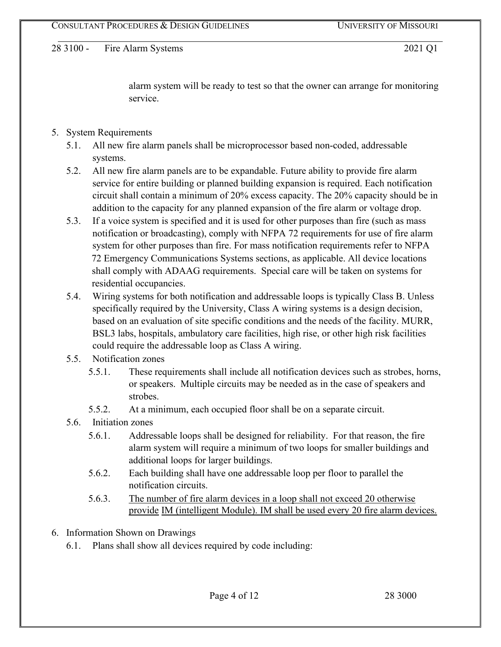alarm system will be ready to test so that the owner can arrange for monitoring service.

## 5. System Requirements

- 5.1. All new fire alarm panels shall be microprocessor based non-coded, addressable systems.
- 5.2. All new fire alarm panels are to be expandable. Future ability to provide fire alarm service for entire building or planned building expansion is required. Each notification circuit shall contain a minimum of 20% excess capacity. The 20% capacity should be in addition to the capacity for any planned expansion of the fire alarm or voltage drop.
- 5.3. If a voice system is specified and it is used for other purposes than fire (such as mass notification or broadcasting), comply with NFPA 72 requirements for use of fire alarm system for other purposes than fire. For mass notification requirements refer to NFPA 72 Emergency Communications Systems sections, as applicable. All device locations shall comply with ADAAG requirements. Special care will be taken on systems for residential occupancies.
- 5.4. Wiring systems for both notification and addressable loops is typically Class B. Unless specifically required by the University, Class A wiring systems is a design decision, based on an evaluation of site specific conditions and the needs of the facility. MURR, BSL3 labs, hospitals, ambulatory care facilities, high rise, or other high risk facilities could require the addressable loop as Class A wiring.
- 5.5. Notification zones
	- 5.5.1. These requirements shall include all notification devices such as strobes, horns, or speakers. Multiple circuits may be needed as in the case of speakers and strobes.
	- 5.5.2. At a minimum, each occupied floor shall be on a separate circuit.
- 5.6. Initiation zones
	- 5.6.1. Addressable loops shall be designed for reliability. For that reason, the fire alarm system will require a minimum of two loops for smaller buildings and additional loops for larger buildings.
	- 5.6.2. Each building shall have one addressable loop per floor to parallel the notification circuits.
	- 5.6.3. The number of fire alarm devices in a loop shall not exceed 20 otherwise provide IM (intelligent Module). IM shall be used every 20 fire alarm devices.
- 6. Information Shown on Drawings
	- 6.1. Plans shall show all devices required by code including: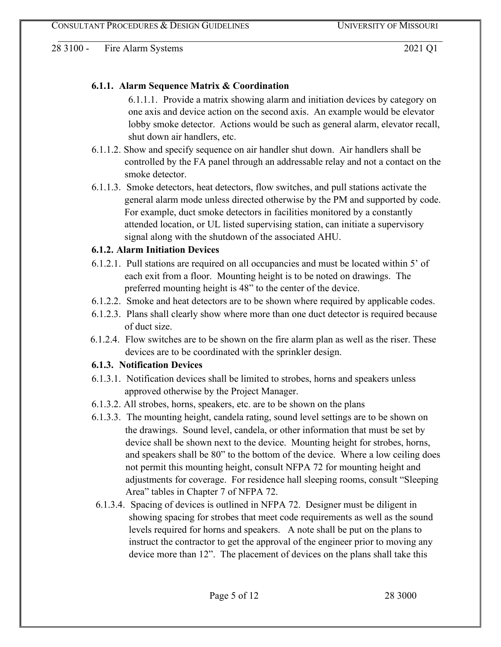## **6.1.1. Alarm Sequence Matrix & Coordination**

6.1.1.1. Provide a matrix showing alarm and initiation devices by category on one axis and device action on the second axis. An example would be elevator lobby smoke detector. Actions would be such as general alarm, elevator recall, shut down air handlers, etc.

- 6.1.1.2. Show and specify sequence on air handler shut down. Air handlers shall be controlled by the FA panel through an addressable relay and not a contact on the smoke detector.
- 6.1.1.3. Smoke detectors, heat detectors, flow switches, and pull stations activate the general alarm mode unless directed otherwise by the PM and supported by code. For example, duct smoke detectors in facilities monitored by a constantly attended location, or UL listed supervising station, can initiate a supervisory signal along with the shutdown of the associated AHU.

## **6.1.2. Alarm Initiation Devices**

- 6.1.2.1. Pull stations are required on all occupancies and must be located within 5' of each exit from a floor. Mounting height is to be noted on drawings. The preferred mounting height is 48" to the center of the device.
- 6.1.2.2. Smoke and heat detectors are to be shown where required by applicable codes.
- 6.1.2.3. Plans shall clearly show where more than one duct detector is required because of duct size.
- 6.1.2.4. Flow switches are to be shown on the fire alarm plan as well as the riser. These devices are to be coordinated with the sprinkler design.

# **6.1.3. Notification Devices**

- 6.1.3.1. Notification devices shall be limited to strobes, horns and speakers unless approved otherwise by the Project Manager.
- 6.1.3.2. All strobes, horns, speakers, etc. are to be shown on the plans
- 6.1.3.3. The mounting height, candela rating, sound level settings are to be shown on the drawings. Sound level, candela, or other information that must be set by device shall be shown next to the device. Mounting height for strobes, horns, and speakers shall be 80" to the bottom of the device. Where a low ceiling does not permit this mounting height, consult NFPA 72 for mounting height and adjustments for coverage. For residence hall sleeping rooms, consult "Sleeping Area" tables in Chapter 7 of NFPA 72.
- 6.1.3.4. Spacing of devices is outlined in NFPA 72. Designer must be diligent in showing spacing for strobes that meet code requirements as well as the sound levels required for horns and speakers. A note shall be put on the plans to instruct the contractor to get the approval of the engineer prior to moving any device more than 12". The placement of devices on the plans shall take this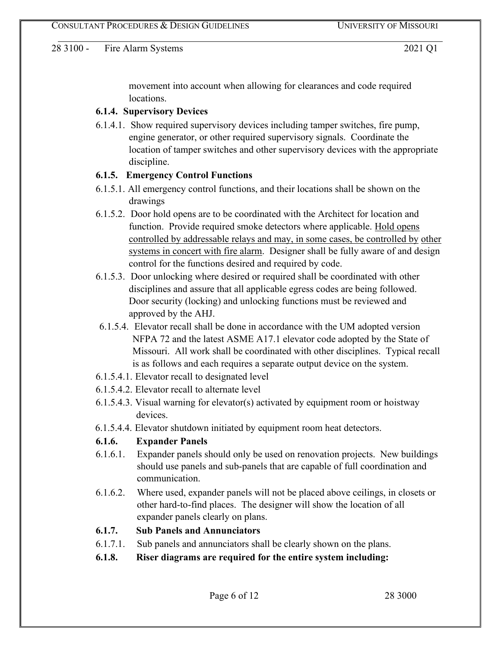movement into account when allowing for clearances and code required locations.

#### **6.1.4. Supervisory Devices**

6.1.4.1. Show required supervisory devices including tamper switches, fire pump, engine generator, or other required supervisory signals. Coordinate the location of tamper switches and other supervisory devices with the appropriate discipline.

#### **6.1.5. Emergency Control Functions**

- 6.1.5.1. All emergency control functions, and their locations shall be shown on the drawings
- 6.1.5.2. Door hold opens are to be coordinated with the Architect for location and function. Provide required smoke detectors where applicable. Hold opens controlled by addressable relays and may, in some cases, be controlled by other systems in concert with fire alarm. Designer shall be fully aware of and design control for the functions desired and required by code.
- 6.1.5.3. Door unlocking where desired or required shall be coordinated with other disciplines and assure that all applicable egress codes are being followed. Door security (locking) and unlocking functions must be reviewed and approved by the AHJ.
- 6.1.5.4. Elevator recall shall be done in accordance with the UM adopted version NFPA 72 and the latest ASME A17.1 elevator code adopted by the State of Missouri. All work shall be coordinated with other disciplines. Typical recall is as follows and each requires a separate output device on the system.
- 6.1.5.4.1. Elevator recall to designated level
- 6.1.5.4.2. Elevator recall to alternate level
- 6.1.5.4.3. Visual warning for elevator(s) activated by equipment room or hoistway devices.
- 6.1.5.4.4. Elevator shutdown initiated by equipment room heat detectors.

## **6.1.6. Expander Panels**

- 6.1.6.1. Expander panels should only be used on renovation projects. New buildings should use panels and sub-panels that are capable of full coordination and communication.
- 6.1.6.2. Where used, expander panels will not be placed above ceilings, in closets or other hard-to-find places. The designer will show the location of all expander panels clearly on plans.

## **6.1.7. Sub Panels and Annunciators**

- 6.1.7.1. Sub panels and annunciators shall be clearly shown on the plans.
- **6.1.8. Riser diagrams are required for the entire system including:**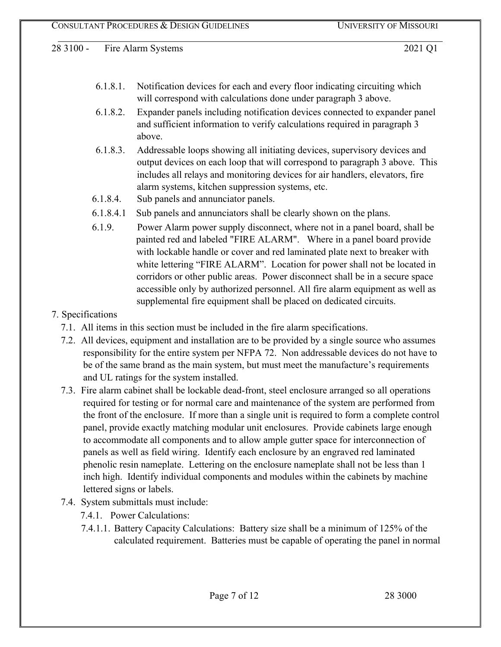- 6.1.8.1. Notification devices for each and every floor indicating circuiting which will correspond with calculations done under paragraph 3 above.
- 6.1.8.2. Expander panels including notification devices connected to expander panel and sufficient information to verify calculations required in paragraph 3 above.
- 6.1.8.3. Addressable loops showing all initiating devices, supervisory devices and output devices on each loop that will correspond to paragraph 3 above. This includes all relays and monitoring devices for air handlers, elevators, fire alarm systems, kitchen suppression systems, etc.
- 6.1.8.4. Sub panels and annunciator panels.
- 6.1.8.4.1 Sub panels and annunciators shall be clearly shown on the plans.
- 6.1.9. Power Alarm power supply disconnect, where not in a panel board, shall be painted red and labeled "FIRE ALARM". Where in a panel board provide with lockable handle or cover and red laminated plate next to breaker with white lettering "FIRE ALARM". Location for power shall not be located in corridors or other public areas. Power disconnect shall be in a secure space accessible only by authorized personnel. All fire alarm equipment as well as supplemental fire equipment shall be placed on dedicated circuits.

## 7. Specifications

- 7.1. All items in this section must be included in the fire alarm specifications.
- 7.2. All devices, equipment and installation are to be provided by a single source who assumes responsibility for the entire system per NFPA 72. Non addressable devices do not have to be of the same brand as the main system, but must meet the manufacture's requirements and UL ratings for the system installed.
- 7.3. Fire alarm cabinet shall be lockable dead-front, steel enclosure arranged so all operations required for testing or for normal care and maintenance of the system are performed from the front of the enclosure. If more than a single unit is required to form a complete control panel, provide exactly matching modular unit enclosures. Provide cabinets large enough to accommodate all components and to allow ample gutter space for interconnection of panels as well as field wiring. Identify each enclosure by an engraved red laminated phenolic resin nameplate. Lettering on the enclosure nameplate shall not be less than 1 inch high. Identify individual components and modules within the cabinets by machine lettered signs or labels.
- 7.4. System submittals must include:
	- 7.4.1. Power Calculations:
	- 7.4.1.1. Battery Capacity Calculations: Battery size shall be a minimum of 125% of the calculated requirement. Batteries must be capable of operating the panel in normal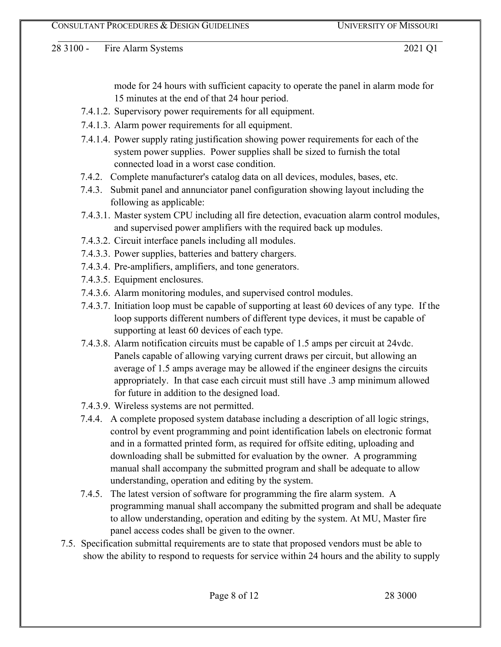mode for 24 hours with sufficient capacity to operate the panel in alarm mode for 15 minutes at the end of that 24 hour period.

- 7.4.1.2. Supervisory power requirements for all equipment.
- 7.4.1.3. Alarm power requirements for all equipment.
- 7.4.1.4. Power supply rating justification showing power requirements for each of the system power supplies. Power supplies shall be sized to furnish the total connected load in a worst case condition.
- 7.4.2. Complete manufacturer's catalog data on all devices, modules, bases, etc.
- 7.4.3. Submit panel and annunciator panel configuration showing layout including the following as applicable:
- 7.4.3.1. Master system CPU including all fire detection, evacuation alarm control modules, and supervised power amplifiers with the required back up modules.
- 7.4.3.2. Circuit interface panels including all modules.
- 7.4.3.3. Power supplies, batteries and battery chargers.
- 7.4.3.4. Pre-amplifiers, amplifiers, and tone generators.
- 7.4.3.5. Equipment enclosures.
- 7.4.3.6. Alarm monitoring modules, and supervised control modules.
- 7.4.3.7. Initiation loop must be capable of supporting at least 60 devices of any type. If the loop supports different numbers of different type devices, it must be capable of supporting at least 60 devices of each type.
- 7.4.3.8. Alarm notification circuits must be capable of 1.5 amps per circuit at 24vdc. Panels capable of allowing varying current draws per circuit, but allowing an average of 1.5 amps average may be allowed if the engineer designs the circuits appropriately. In that case each circuit must still have .3 amp minimum allowed for future in addition to the designed load.
- 7.4.3.9. Wireless systems are not permitted.
- 7.4.4. A complete proposed system database including a description of all logic strings, control by event programming and point identification labels on electronic format and in a formatted printed form, as required for offsite editing, uploading and downloading shall be submitted for evaluation by the owner. A programming manual shall accompany the submitted program and shall be adequate to allow understanding, operation and editing by the system.
- 7.4.5. The latest version of software for programming the fire alarm system. A programming manual shall accompany the submitted program and shall be adequate to allow understanding, operation and editing by the system. At MU, Master fire panel access codes shall be given to the owner.
- 7.5. Specification submittal requirements are to state that proposed vendors must be able to show the ability to respond to requests for service within 24 hours and the ability to supply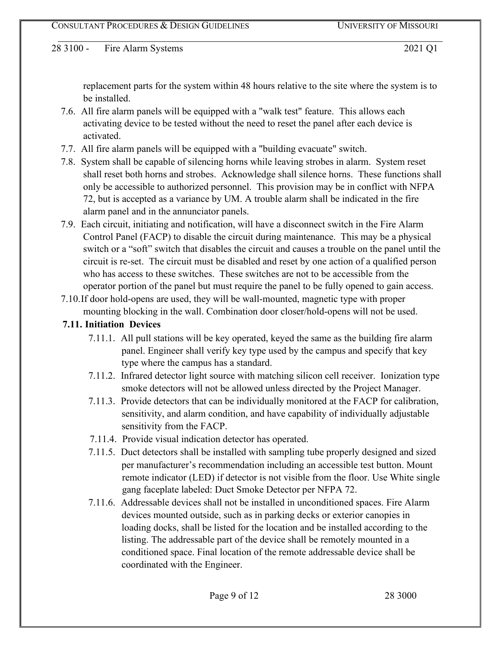replacement parts for the system within 48 hours relative to the site where the system is to be installed.

- 7.6. All fire alarm panels will be equipped with a "walk test" feature. This allows each activating device to be tested without the need to reset the panel after each device is activated.
- 7.7. All fire alarm panels will be equipped with a "building evacuate" switch.
- 7.8. System shall be capable of silencing horns while leaving strobes in alarm. System reset shall reset both horns and strobes. Acknowledge shall silence horns. These functions shall only be accessible to authorized personnel. This provision may be in conflict with NFPA 72, but is accepted as a variance by UM. A trouble alarm shall be indicated in the fire alarm panel and in the annunciator panels.
- 7.9. Each circuit, initiating and notification, will have a disconnect switch in the Fire Alarm Control Panel (FACP) to disable the circuit during maintenance. This may be a physical switch or a "soft" switch that disables the circuit and causes a trouble on the panel until the circuit is re-set. The circuit must be disabled and reset by one action of a qualified person who has access to these switches. These switches are not to be accessible from the operator portion of the panel but must require the panel to be fully opened to gain access.
- 7.10.If door hold-opens are used, they will be wall-mounted, magnetic type with proper mounting blocking in the wall. Combination door closer/hold-opens will not be used.
- **7.11. Initiation Devices** 
	- 7.11.1. All pull stations will be key operated, keyed the same as the building fire alarm panel. Engineer shall verify key type used by the campus and specify that key type where the campus has a standard.
	- 7.11.2. Infrared detector light source with matching silicon cell receiver. Ionization type smoke detectors will not be allowed unless directed by the Project Manager.
	- 7.11.3. Provide detectors that can be individually monitored at the FACP for calibration, sensitivity, and alarm condition, and have capability of individually adjustable sensitivity from the FACP.
	- 7.11.4. Provide visual indication detector has operated.
	- 7.11.5. Duct detectors shall be installed with sampling tube properly designed and sized per manufacturer's recommendation including an accessible test button. Mount remote indicator (LED) if detector is not visible from the floor. Use White single gang faceplate labeled: Duct Smoke Detector per NFPA 72.
	- 7.11.6. Addressable devices shall not be installed in unconditioned spaces. Fire Alarm devices mounted outside, such as in parking decks or exterior canopies in loading docks, shall be listed for the location and be installed according to the listing. The addressable part of the device shall be remotely mounted in a conditioned space. Final location of the remote addressable device shall be coordinated with the Engineer.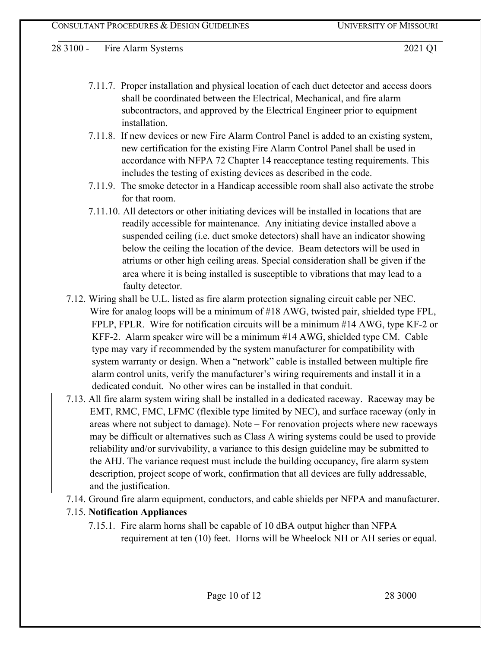- 7.11.7. Proper installation and physical location of each duct detector and access doors shall be coordinated between the Electrical, Mechanical, and fire alarm subcontractors, and approved by the Electrical Engineer prior to equipment installation.
- 7.11.8. If new devices or new Fire Alarm Control Panel is added to an existing system, new certification for the existing Fire Alarm Control Panel shall be used in accordance with NFPA 72 Chapter 14 reacceptance testing requirements. This includes the testing of existing devices as described in the code.
- 7.11.9. The smoke detector in a Handicap accessible room shall also activate the strobe for that room.
- 7.11.10. All detectors or other initiating devices will be installed in locations that are readily accessible for maintenance. Any initiating device installed above a suspended ceiling (i.e. duct smoke detectors) shall have an indicator showing below the ceiling the location of the device. Beam detectors will be used in atriums or other high ceiling areas. Special consideration shall be given if the area where it is being installed is susceptible to vibrations that may lead to a faulty detector.
- 7.12. Wiring shall be U.L. listed as fire alarm protection signaling circuit cable per NEC. Wire for analog loops will be a minimum of #18 AWG, twisted pair, shielded type FPL, FPLP, FPLR. Wire for notification circuits will be a minimum #14 AWG, type KF-2 or KFF-2. Alarm speaker wire will be a minimum #14 AWG, shielded type CM. Cable type may vary if recommended by the system manufacturer for compatibility with system warranty or design. When a "network" cable is installed between multiple fire alarm control units, verify the manufacturer's wiring requirements and install it in a dedicated conduit. No other wires can be installed in that conduit.
- 7.13. All fire alarm system wiring shall be installed in a dedicated raceway. Raceway may be EMT, RMC, FMC, LFMC (flexible type limited by NEC), and surface raceway (only in areas where not subject to damage). Note – For renovation projects where new raceways may be difficult or alternatives such as Class A wiring systems could be used to provide reliability and/or survivability, a variance to this design guideline may be submitted to the AHJ. The variance request must include the building occupancy, fire alarm system description, project scope of work, confirmation that all devices are fully addressable, and the justification.
- 7.14. Ground fire alarm equipment, conductors, and cable shields per NFPA and manufacturer.

# 7.15. **Notification Appliances**

7.15.1. Fire alarm horns shall be capable of 10 dBA output higher than NFPA requirement at ten (10) feet. Horns will be Wheelock NH or AH series or equal.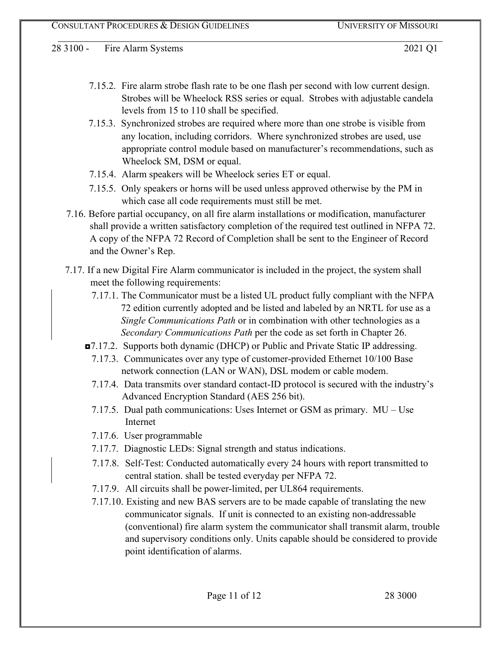- 7.15.2. Fire alarm strobe flash rate to be one flash per second with low current design. Strobes will be Wheelock RSS series or equal. Strobes with adjustable candela levels from 15 to 110 shall be specified.
- 7.15.3. Synchronized strobes are required where more than one strobe is visible from any location, including corridors. Where synchronized strobes are used, use appropriate control module based on manufacturer's recommendations, such as Wheelock SM, DSM or equal.
- 7.15.4. Alarm speakers will be Wheelock series ET or equal.
- 7.15.5. Only speakers or horns will be used unless approved otherwise by the PM in which case all code requirements must still be met.
- 7.16. Before partial occupancy, on all fire alarm installations or modification, manufacturer shall provide a written satisfactory completion of the required test outlined in NFPA 72. A copy of the NFPA 72 Record of Completion shall be sent to the Engineer of Record and the Owner's Rep.
- 7.17. If a new Digital Fire Alarm communicator is included in the project, the system shall meet the following requirements:
	- 7.17.1. The Communicator must be a listed UL product fully compliant with the NFPA 72 edition currently adopted and be listed and labeled by an NRTL for use as a *Single Communications Path* or in combination with other technologies as a *Secondary Communications Path* per the code as set forth in Chapter 26.
	- ◘7.17.2. Supports both dynamic (DHCP) or Public and Private Static IP addressing.
		- 7.17.3. Communicates over any type of customer-provided Ethernet 10/100 Base network connection (LAN or WAN), DSL modem or cable modem.
		- 7.17.4. Data transmits over standard contact-ID protocol is secured with the industry's Advanced Encryption Standard (AES 256 bit).
		- 7.17.5. Dual path communications: Uses Internet or GSM as primary. MU Use Internet
		- 7.17.6. User programmable
		- 7.17.7. Diagnostic LEDs: Signal strength and status indications.
		- 7.17.8. Self-Test: Conducted automatically every 24 hours with report transmitted to central station. shall be tested everyday per NFPA 72.
		- 7.17.9. All circuits shall be power-limited, per UL864 requirements.
		- 7.17.10. Existing and new BAS servers are to be made capable of translating the new communicator signals. If unit is connected to an existing non-addressable (conventional) fire alarm system the communicator shall transmit alarm, trouble and supervisory conditions only. Units capable should be considered to provide point identification of alarms.